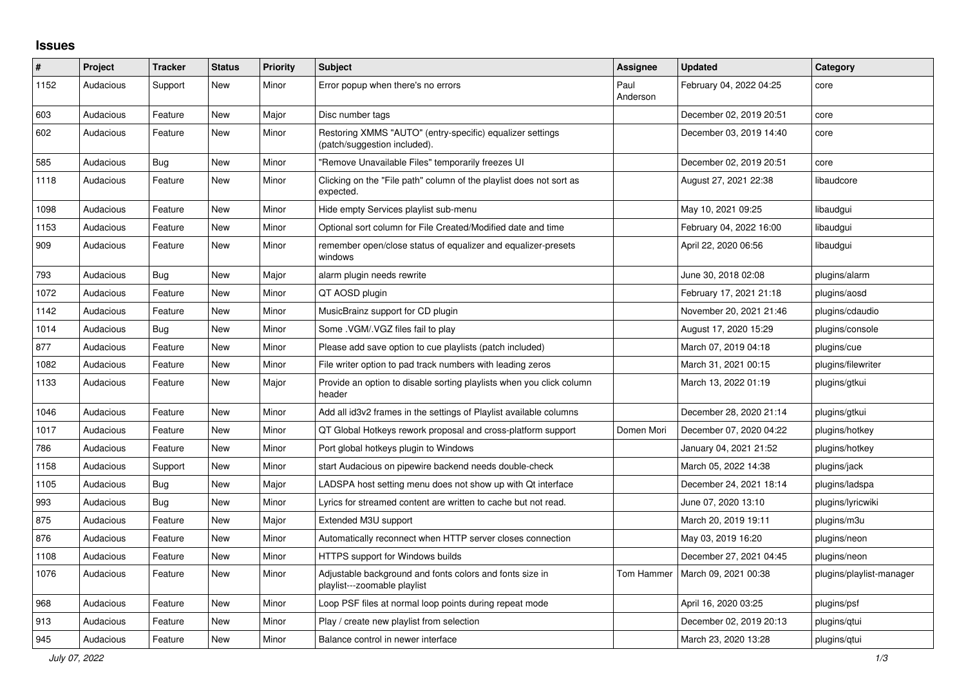## **Issues**

| #    | <b>Project</b> | <b>Tracker</b> | <b>Status</b> | <b>Priority</b> | <b>Subject</b>                                                                            | Assignee         | <b>Updated</b>          | Category                 |
|------|----------------|----------------|---------------|-----------------|-------------------------------------------------------------------------------------------|------------------|-------------------------|--------------------------|
| 1152 | Audacious      | Support        | <b>New</b>    | Minor           | Error popup when there's no errors                                                        | Paul<br>Anderson | February 04, 2022 04:25 | core                     |
| 603  | Audacious      | Feature        | <b>New</b>    | Major           | Disc number tags                                                                          |                  | December 02, 2019 20:51 | core                     |
| 602  | Audacious      | Feature        | <b>New</b>    | Minor           | Restoring XMMS "AUTO" (entry-specific) equalizer settings<br>(patch/suggestion included). |                  | December 03, 2019 14:40 | core                     |
| 585  | Audacious      | Bug            | <b>New</b>    | Minor           | "Remove Unavailable Files" temporarily freezes UI                                         |                  | December 02, 2019 20:51 | core                     |
| 1118 | Audacious      | Feature        | <b>New</b>    | Minor           | Clicking on the "File path" column of the playlist does not sort as<br>expected.          |                  | August 27, 2021 22:38   | libaudcore               |
| 1098 | Audacious      | Feature        | <b>New</b>    | Minor           | Hide empty Services playlist sub-menu                                                     |                  | May 10, 2021 09:25      | libaudgui                |
| 1153 | Audacious      | Feature        | <b>New</b>    | Minor           | Optional sort column for File Created/Modified date and time                              |                  | February 04, 2022 16:00 | libaudgui                |
| 909  | Audacious      | Feature        | <b>New</b>    | Minor           | remember open/close status of equalizer and equalizer-presets<br>windows                  |                  | April 22, 2020 06:56    | libaudgui                |
| 793  | Audacious      | <b>Bug</b>     | <b>New</b>    | Major           | alarm plugin needs rewrite                                                                |                  | June 30, 2018 02:08     | plugins/alarm            |
| 1072 | Audacious      | Feature        | <b>New</b>    | Minor           | QT AOSD plugin                                                                            |                  | February 17, 2021 21:18 | plugins/aosd             |
| 1142 | Audacious      | Feature        | New           | Minor           | MusicBrainz support for CD plugin                                                         |                  | November 20, 2021 21:46 | plugins/cdaudio          |
| 1014 | Audacious      | Bug            | <b>New</b>    | Minor           | Some . VGM/. VGZ files fail to play                                                       |                  | August 17, 2020 15:29   | plugins/console          |
| 877  | Audacious      | Feature        | <b>New</b>    | Minor           | Please add save option to cue playlists (patch included)                                  |                  | March 07, 2019 04:18    | plugins/cue              |
| 1082 | Audacious      | Feature        | <b>New</b>    | Minor           | File writer option to pad track numbers with leading zeros                                |                  | March 31, 2021 00:15    | plugins/filewriter       |
| 1133 | Audacious      | Feature        | New           | Major           | Provide an option to disable sorting playlists when you click column<br>header            |                  | March 13, 2022 01:19    | plugins/gtkui            |
| 1046 | Audacious      | Feature        | <b>New</b>    | Minor           | Add all id3v2 frames in the settings of Playlist available columns                        |                  | December 28, 2020 21:14 | plugins/gtkui            |
| 1017 | Audacious      | Feature        | <b>New</b>    | Minor           | QT Global Hotkeys rework proposal and cross-platform support                              | Domen Mori       | December 07, 2020 04:22 | plugins/hotkey           |
| 786  | Audacious      | Feature        | <b>New</b>    | Minor           | Port global hotkeys plugin to Windows                                                     |                  | January 04, 2021 21:52  | plugins/hotkey           |
| 1158 | Audacious      | Support        | New           | Minor           | start Audacious on pipewire backend needs double-check                                    |                  | March 05, 2022 14:38    | plugins/jack             |
| 1105 | Audacious      | Bug            | <b>New</b>    | Major           | LADSPA host setting menu does not show up with Qt interface                               |                  | December 24, 2021 18:14 | plugins/ladspa           |
| 993  | Audacious      | <b>Bug</b>     | <b>New</b>    | Minor           | Lyrics for streamed content are written to cache but not read.                            |                  | June 07, 2020 13:10     | plugins/lyricwiki        |
| 875  | Audacious      | Feature        | <b>New</b>    | Major           | Extended M3U support                                                                      |                  | March 20, 2019 19:11    | plugins/m3u              |
| 876  | Audacious      | Feature        | <b>New</b>    | Minor           | Automatically reconnect when HTTP server closes connection                                |                  | May 03, 2019 16:20      | plugins/neon             |
| 1108 | Audacious      | Feature        | New           | Minor           | <b>HTTPS support for Windows builds</b>                                                   |                  | December 27, 2021 04:45 | plugins/neon             |
| 1076 | Audacious      | Feature        | <b>New</b>    | Minor           | Adjustable background and fonts colors and fonts size in<br>playlist---zoomable playlist  | Tom Hammer       | March 09, 2021 00:38    | plugins/playlist-manager |
| 968  | Audacious      | Feature        | New           | Minor           | Loop PSF files at normal loop points during repeat mode                                   |                  | April 16, 2020 03:25    | plugins/psf              |
| 913  | Audacious      | Feature        | <b>New</b>    | Minor           | Play / create new playlist from selection                                                 |                  | December 02, 2019 20:13 | plugins/qtui             |
| 945  | Audacious      | Feature        | <b>New</b>    | Minor           | Balance control in newer interface                                                        |                  | March 23, 2020 13:28    | plugins/gtui             |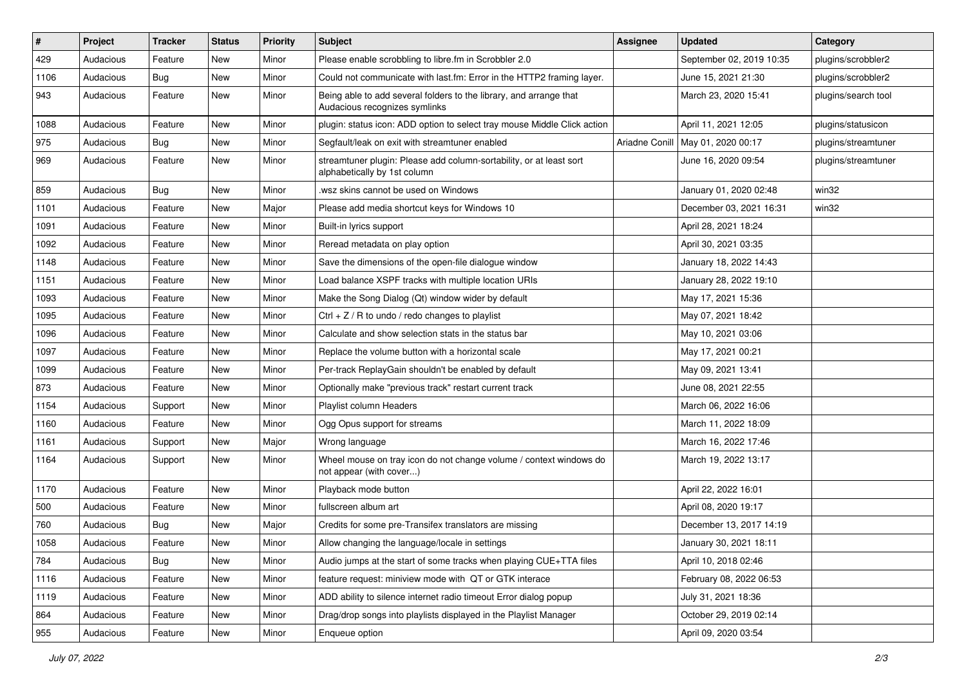| #    | Project   | <b>Tracker</b> | <b>Status</b> | <b>Priority</b> | <b>Subject</b>                                                                                      | <b>Assignee</b> | <b>Updated</b>           | Category            |
|------|-----------|----------------|---------------|-----------------|-----------------------------------------------------------------------------------------------------|-----------------|--------------------------|---------------------|
| 429  | Audacious | Feature        | New           | Minor           | Please enable scrobbling to libre.fm in Scrobbler 2.0                                               |                 | September 02, 2019 10:35 | plugins/scrobbler2  |
| 1106 | Audacious | <b>Bug</b>     | <b>New</b>    | Minor           | Could not communicate with last.fm: Error in the HTTP2 framing layer.                               |                 | June 15, 2021 21:30      | plugins/scrobbler2  |
| 943  | Audacious | Feature        | New           | Minor           | Being able to add several folders to the library, and arrange that<br>Audacious recognizes symlinks |                 | March 23, 2020 15:41     | plugins/search tool |
| 1088 | Audacious | Feature        | <b>New</b>    | Minor           | plugin: status icon: ADD option to select tray mouse Middle Click action                            |                 | April 11, 2021 12:05     | plugins/statusicon  |
| 975  | Audacious | Bug            | New           | Minor           | Segfault/leak on exit with streamtuner enabled                                                      | Ariadne Conill  | May 01, 2020 00:17       | plugins/streamtuner |
| 969  | Audacious | Feature        | New           | Minor           | streamtuner plugin: Please add column-sortability, or at least sort<br>alphabetically by 1st column |                 | June 16, 2020 09:54      | plugins/streamtuner |
| 859  | Audacious | Bug            | New           | Minor           | .wsz skins cannot be used on Windows                                                                |                 | January 01, 2020 02:48   | win32               |
| 1101 | Audacious | Feature        | <b>New</b>    | Major           | Please add media shortcut keys for Windows 10                                                       |                 | December 03, 2021 16:31  | win32               |
| 1091 | Audacious | Feature        | New           | Minor           | Built-in lyrics support                                                                             |                 | April 28, 2021 18:24     |                     |
| 1092 | Audacious | Feature        | New           | Minor           | Reread metadata on play option                                                                      |                 | April 30, 2021 03:35     |                     |
| 1148 | Audacious | Feature        | <b>New</b>    | Minor           | Save the dimensions of the open-file dialogue window                                                |                 | January 18, 2022 14:43   |                     |
| 1151 | Audacious | Feature        | New           | Minor           | Load balance XSPF tracks with multiple location URIs                                                |                 | January 28, 2022 19:10   |                     |
| 1093 | Audacious | Feature        | <b>New</b>    | Minor           | Make the Song Dialog (Qt) window wider by default                                                   |                 | May 17, 2021 15:36       |                     |
| 1095 | Audacious | Feature        | New           | Minor           | Ctrl + $Z$ / R to undo / redo changes to playlist                                                   |                 | May 07, 2021 18:42       |                     |
| 1096 | Audacious | Feature        | New           | Minor           | Calculate and show selection stats in the status bar                                                |                 | May 10, 2021 03:06       |                     |
| 1097 | Audacious | Feature        | New           | Minor           | Replace the volume button with a horizontal scale                                                   |                 | May 17, 2021 00:21       |                     |
| 1099 | Audacious | Feature        | New           | Minor           | Per-track ReplayGain shouldn't be enabled by default                                                |                 | May 09, 2021 13:41       |                     |
| 873  | Audacious | Feature        | New           | Minor           | Optionally make "previous track" restart current track                                              |                 | June 08, 2021 22:55      |                     |
| 1154 | Audacious | Support        | New           | Minor           | Playlist column Headers                                                                             |                 | March 06, 2022 16:06     |                     |
| 1160 | Audacious | Feature        | New           | Minor           | Ogg Opus support for streams                                                                        |                 | March 11, 2022 18:09     |                     |
| 1161 | Audacious | Support        | New           | Major           | Wrong language                                                                                      |                 | March 16, 2022 17:46     |                     |
| 1164 | Audacious | Support        | New           | Minor           | Wheel mouse on tray icon do not change volume / context windows do<br>not appear (with cover)       |                 | March 19, 2022 13:17     |                     |
| 1170 | Audacious | Feature        | New           | Minor           | Playback mode button                                                                                |                 | April 22, 2022 16:01     |                     |
| 500  | Audacious | Feature        | New           | Minor           | fullscreen album art                                                                                |                 | April 08, 2020 19:17     |                     |
| 760  | Audacious | <b>Bug</b>     | New           | Major           | Credits for some pre-Transifex translators are missing                                              |                 | December 13, 2017 14:19  |                     |
| 1058 | Audacious | Feature        | New           | Minor           | Allow changing the language/locale in settings                                                      |                 | January 30, 2021 18:11   |                     |
| 784  | Audacious | Bug            | New           | Minor           | Audio jumps at the start of some tracks when playing CUE+TTA files                                  |                 | April 10, 2018 02:46     |                     |
| 1116 | Audacious | Feature        | New           | Minor           | feature request: miniview mode with QT or GTK interace                                              |                 | February 08, 2022 06:53  |                     |
| 1119 | Audacious | Feature        | New           | Minor           | ADD ability to silence internet radio timeout Error dialog popup                                    |                 | July 31, 2021 18:36      |                     |
| 864  | Audacious | Feature        | New           | Minor           | Drag/drop songs into playlists displayed in the Playlist Manager                                    |                 | October 29, 2019 02:14   |                     |
| 955  | Audacious | Feature        | New           | Minor           | Enqueue option                                                                                      |                 | April 09, 2020 03:54     |                     |